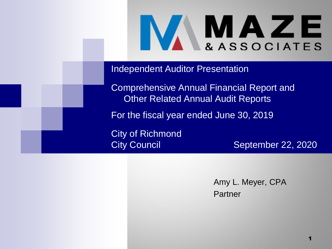

Independent Auditor Presentation

Comprehensive Annual Financial Report and Other Related Annual Audit Reports

For the fiscal year ended June 30, 2019

City of Richmond

City Council **September 22, 2020** 

Amy L. Meyer, CPA **Partner**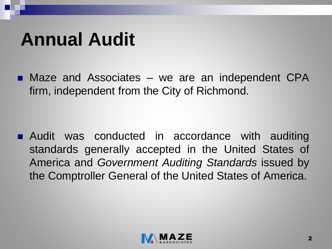#### **Annual Audit**

■ Maze and Associates – we are an independent CPA firm, independent from the City of Richmond.

**Audit was conducted in accordance with auditing** standards generally accepted in the United States of America and *Government Auditing Standards* issued by the Comptroller General of the United States of America.

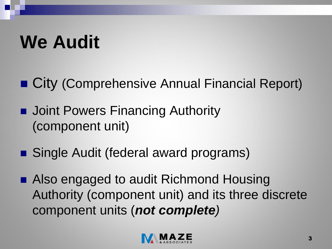### **We Audit**

■ City (Comprehensive Annual Financial Report)

- **Joint Powers Financing Authority** (component unit)
- Single Audit (federal award programs)
- Also engaged to audit Richmond Housing Authority (component unit) and its three discrete component units (*not complete)*

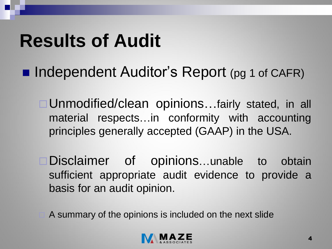- Independent Auditor's Report (pg 1 of CAFR)
	- □ Unmodified/clean opinions...fairly stated, in all material respects…in conformity with accounting principles generally accepted (GAAP) in the USA.
	- □Disclaimer of opinions...unable to obtain sufficient appropriate audit evidence to provide a basis for an audit opinion.
	- A summary of the opinions is included on the next slide

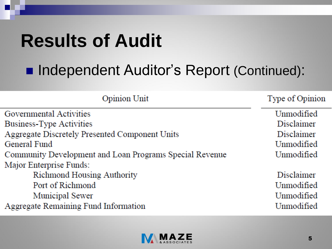#### ■ Independent Auditor's Report (Continued):

| Opinion Unit                                            | Type of Opinion |  |
|---------------------------------------------------------|-----------------|--|
| Governmental Activities                                 | Unmodified      |  |
| Business-Type Activities                                | Disclaimer      |  |
| Aggregate Discretely Presented Component Units          | Disclaimer      |  |
| General Fund                                            | Unmodified      |  |
| Community Development and Loan Programs Special Revenue | Unmodified      |  |
| Major Enterprise Funds:                                 |                 |  |
| Richmond Housing Authority                              | Disclaimer      |  |
| Port of Richmond                                        | Unmodified      |  |
| Municipal Sewer                                         | Unmodified      |  |
| Aggregate Remaining Fund Information                    | Unmodified      |  |

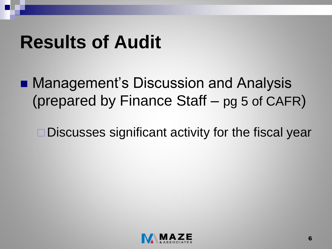■ Management's Discussion and Analysis (prepared by Finance Staff – pg 5 of CAFR)

□Discusses significant activity for the fiscal year

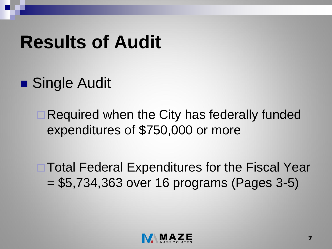■ Single Audit

Required when the City has federally funded expenditures of \$750,000 or more

**□ Total Federal Expenditures for the Fiscal Year** = \$5,734,363 over 16 programs (Pages 3-5)

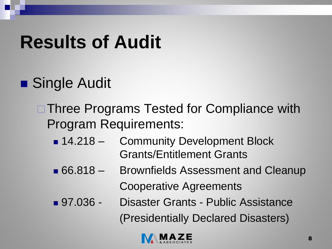- Single Audit
	- **□ Three Programs Tested for Compliance with** Program Requirements:
		- 14.218 Community Development Block Grants/Entitlement Grants
		- 66.818 Brownfields Assessment and Cleanup Cooperative Agreements
		- 97.036 Disaster Grants Public Assistance (Presidentially Declared Disasters)

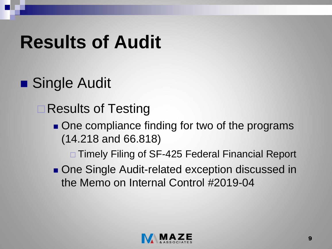- Single Audit
	- **□ Results of Testing** 
		- One compliance finding for two of the programs (14.218 and 66.818)

□ Timely Filing of SF-425 Federal Financial Report

■ One Single Audit-related exception discussed in the Memo on Internal Control #2019-04

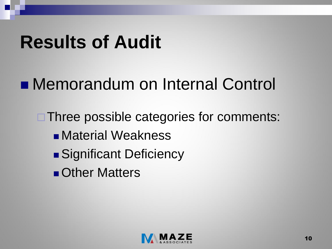#### ■ Memorandum on Internal Control

**□ Three possible categories for comments: Naterial Weakness** ■ Significant Deficiency **Other Matters** 

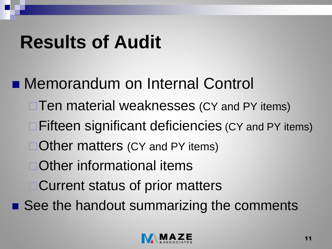**Nemorandum on Internal Control** □ Ten material weaknesses (CY and PY items) **□Fifteen significant deficiencies (CY and PY items) □Other matters (CY and PY items)** Other informational items Current status of prior matters ■ See the handout summarizing the comments

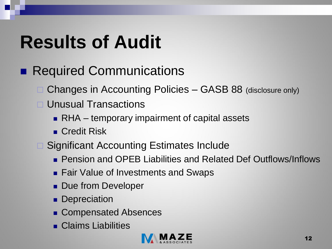- Required Communications
	- □ Changes in Accounting Policies GASB 88 (disclosure only)
	- Unusual Transactions
		- RHA temporary impairment of capital assets
		- Credit Risk
	- **□ Significant Accounting Estimates Include** 
		- **Pension and OPEB Liabilities and Related Def Outflows/Inflows**
		- **Fair Value of Investments and Swaps**
		- **Due from Developer**
		- **Depreciation**
		- **Exerces** Compensated Absences
		- **Claims Liabilities**

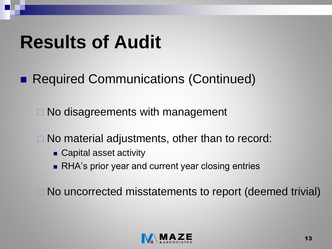■ Required Communications (Continued)

 $\Box$  No disagreements with management

□ No material adjustments, other than to record:

- **Capital asset activity**
- **RHA's prior year and current year closing entries**

No uncorrected misstatements to report (deemed trivial)

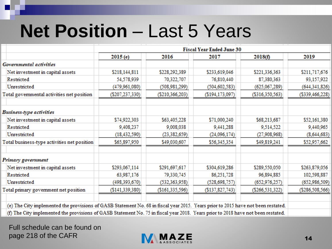#### **Net Position** – Last 5 Years

|                                                                                                                                   | <b>Fiscal Year Ended June 30</b> |                   |                    |                 |                    |  |
|-----------------------------------------------------------------------------------------------------------------------------------|----------------------------------|-------------------|--------------------|-----------------|--------------------|--|
|                                                                                                                                   | 2015 (e)                         | 2016              | 2017               | 2018(f)         | 2019               |  |
| <b>Governmental activities</b>                                                                                                    |                                  |                   |                    |                 |                    |  |
| Net investment in capital assets                                                                                                  | \$218,144,811                    | \$228,292,389     | \$233,619,046      | \$221,336,363   | \$211,717,676      |  |
| Restricted                                                                                                                        | 54,578,939                       | 70,322,707        | 76,810,440         | 87,380,363      | 93,157,922         |  |
| Unrestricted                                                                                                                      | (479,961,080)                    | (508,981,299)     | (504, 602, 583)    | (625,067,289)   | (644,341,826)      |  |
| Total governmental activities net position                                                                                        | (\$207,237,330)                  | (\$210, 366, 203) | (\$194, 173, 097)  | (\$316,350,563) | (\$339,466,228)    |  |
| <b>Business-type activities</b>                                                                                                   |                                  |                   |                    |                 |                    |  |
| Net investment in capital assets                                                                                                  | \$74,922,303                     | \$63,405,228      | \$71,000,240       | \$68,213,687    | \$52,161,380       |  |
| Restricted                                                                                                                        | 9,408,237                        | 9,008,038         | 9,441,288          | 9,514,522       | 9,440,965          |  |
| Unrestricted                                                                                                                      | (18, 432, 590)                   | (23, 382, 659)    | (24,096,174)       | (27,908,968)    | (8,644,683)        |  |
| Total business-type activities net position                                                                                       | \$65,897,950                     | \$49,030,607      | \$56,345,354       | \$49,819,241    | \$52,957,662       |  |
| Primary government                                                                                                                |                                  |                   |                    |                 |                    |  |
| Net investment in capital assets                                                                                                  | \$293,067,114                    | \$291,697,617     | \$304,619,286      | \$289,550,050   | \$263,879,056      |  |
| Restricted                                                                                                                        | 63,987,176                       | 79,330,745        | 86,251,728         | 96,894,885      | 102,598,887        |  |
| Unrestricted                                                                                                                      | (498,393,670)                    | (532, 363, 958)   | (528, 698, 757)    | (652, 976, 257) | (652,986,509)      |  |
| Total primary government net position                                                                                             | ( \$141, 339, 380)               | (\$161,335,596)   | $($ \$137,827,743) | (\$266,531,322) | ( \$286, 508, 566) |  |
| (e) The City implemented the provisions of GASB Statement No. 68 in fiscal year 2015. Years prior to 2015 have not been restated. |                                  |                   |                    |                 |                    |  |
| (f) The City implemented the provisions of GASB Statement No. 75 in fiscal year 2018. Years prior to 2018 have not been restated. |                                  |                   |                    |                 |                    |  |

Full schedule can be found on page 218 of the CAFR

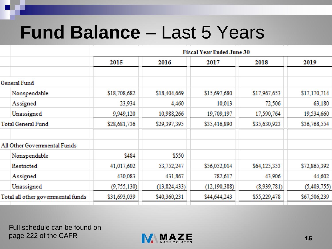#### **Fund Balance** – Last 5 Years

|                                    | <b>Fiscal Year Ended June 30</b> |              |                |              |              |  |
|------------------------------------|----------------------------------|--------------|----------------|--------------|--------------|--|
|                                    | 2015                             | 2016         | 2017           | 2018         | 2019         |  |
| General Fund                       |                                  |              |                |              |              |  |
| Nonspendable                       | \$18,708,682                     | \$18,404,669 | \$15,697,680   | \$17,967,653 | \$17,170,714 |  |
| Assigned                           | 23,934                           | 4,460        | 10,013         | 72,506       | 63,180       |  |
| Unassigned                         | 9,949,120                        | 10,988,266   | 19,709,197     | 17,590,764   | 19,534,660   |  |
| Total General Fund                 | \$28,681,736                     | \$29,397,395 | \$35,416,890   | \$35,630,923 | \$36,768,554 |  |
| All Other Governmental Funds       |                                  |              |                |              |              |  |
| Nonspendable                       | \$484                            | \$550        |                |              |              |  |
| Restricted                         | 41,017,602                       | 53,752,247   | \$56,052,014   | \$64,125,353 | \$72,865,392 |  |
| Assigned                           | 430,083                          | 431,867      | 782,617        | 43,906       | 44,602       |  |
| Unassigned                         | (9,755,130)                      | (13,824,433) | (12, 190, 388) | (8,939,781)  | (5,403,755)  |  |
| Total all other governmental funds | \$31,693,039                     | \$40,360,231 | \$44,644,243   | \$55,229,478 | \$67,506,239 |  |
|                                    |                                  |              |                |              |              |  |